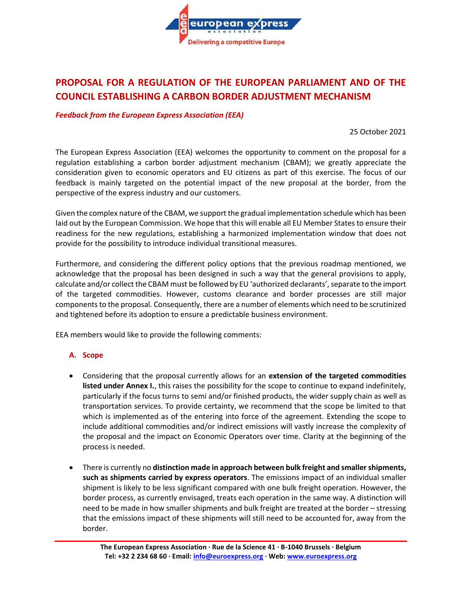

# **PROPOSAL FOR A REGULATION OF THE EUROPEAN PARLIAMENT AND OF THE COUNCIL ESTABLISHING A CARBON BORDER ADJUSTMENT MECHANISM**

*Feedback from the European Express Association (EEA)*

25 October 2021

The European Express Association (EEA) welcomes the opportunity to comment on the proposal for a regulation establishing a carbon border adjustment mechanism (CBAM); we greatly appreciate the consideration given to economic operators and EU citizens as part of this exercise. The focus of our feedback is mainly targeted on the potential impact of the new proposal at the border, from the perspective of the express industry and our customers.

Given the complex nature of the CBAM, we support the gradual implementation schedule which has been laid out by the European Commission. We hope that this will enable all EU Member States to ensure their readiness for the new regulations, establishing a harmonized implementation window that does not provide for the possibility to introduce individual transitional measures.

Furthermore, and considering the different policy options that the previous roadmap mentioned, we acknowledge that the proposal has been designed in such a way that the general provisions to apply, calculate and/or collect the CBAM must be followed by EU 'authorized declarants', separate to the import of the targeted commodities. However, customs clearance and border processes are still major components to the proposal. Consequently, there are a number of elements which need to be scrutinized and tightened before its adoption to ensure a predictable business environment.

EEA members would like to provide the following comments:

### **A. Scope**

- Considering that the proposal currently allows for an **extension of the targeted commodities listed under Annex I.**, this raises the possibility for the scope to continue to expand indefinitely, particularly if the focus turns to semi and/or finished products, the wider supply chain as well as transportation services. To provide certainty, we recommend that the scope be limited to that which is implemented as of the entering into force of the agreement. Extending the scope to include additional commodities and/or indirect emissions will vastly increase the complexity of the proposal and the impact on Economic Operators over time. Clarity at the beginning of the process is needed.
- There is currently no **distinction made in approach between bulk freight and smallershipments, such as shipments carried by express operators**. The emissions impact of an individual smaller shipment is likely to be less significant compared with one bulk freight operation. However, the border process, as currently envisaged, treats each operation in the same way. A distinction will need to be made in how smaller shipments and bulk freight are treated at the border – stressing that the emissions impact of these shipments will still need to be accounted for, away from the border.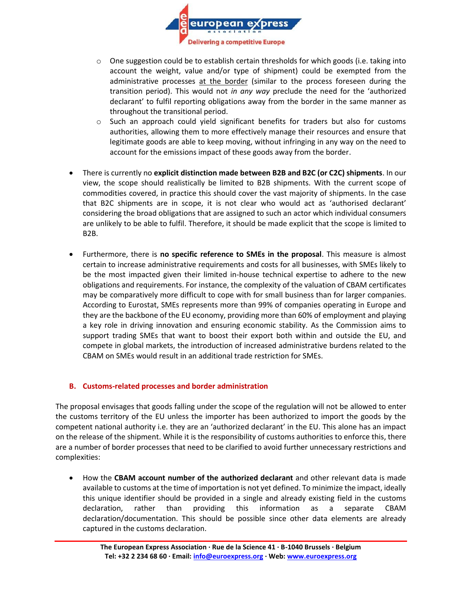

- $\circ$  One suggestion could be to establish certain thresholds for which goods (i.e. taking into account the weight, value and/or type of shipment) could be exempted from the administrative processes at the border (similar to the process foreseen during the transition period). This would not *in any way* preclude the need for the 'authorized declarant' to fulfil reporting obligations away from the border in the same manner as throughout the transitional period.
- $\circ$  Such an approach could yield significant benefits for traders but also for customs authorities, allowing them to more effectively manage their resources and ensure that legitimate goods are able to keep moving, without infringing in any way on the need to account for the emissions impact of these goods away from the border.
- There is currently no **explicit distinction made between B2B and B2C (or C2C) shipments**. In our view, the scope should realistically be limited to B2B shipments. With the current scope of commodities covered, in practice this should cover the vast majority of shipments. In the case that B2C shipments are in scope, it is not clear who would act as 'authorised declarant' considering the broad obligations that are assigned to such an actor which individual consumers are unlikely to be able to fulfil. Therefore, it should be made explicit that the scope is limited to B2B.
- Furthermore, there is **no specific reference to SMEs in the proposal**. This measure is almost certain to increase administrative requirements and costs for all businesses, with SMEs likely to be the most impacted given their limited in-house technical expertise to adhere to the new obligations and requirements. For instance, the complexity of the valuation of CBAM certificates may be comparatively more difficult to cope with for small business than for larger companies. According to Eurostat, SMEs represents more than 99% of companies operating in Europe and they are the backbone of the EU economy, providing more than 60% of employment and playing a key role in driving innovation and ensuring economic stability. As the Commission aims to support trading SMEs that want to boost their export both within and outside the EU, and compete in global markets, the introduction of increased administrative burdens related to the CBAM on SMEs would result in an additional trade restriction for SMEs.

### **B. Customs-related processes and border administration**

The proposal envisages that goods falling under the scope of the regulation will not be allowed to enter the customs territory of the EU unless the importer has been authorized to import the goods by the competent national authority i.e. they are an 'authorized declarant' in the EU. This alone has an impact on the release of the shipment. While it is the responsibility of customs authorities to enforce this, there are a number of border processes that need to be clarified to avoid further unnecessary restrictions and complexities:

• How the **CBAM account number of the authorized declarant** and other relevant data is made available to customs at the time of importation is not yet defined. To minimize the impact, ideally this unique identifier should be provided in a single and already existing field in the customs declaration, rather than providing this information as a separate CBAM declaration/documentation. This should be possible since other data elements are already captured in the customs declaration.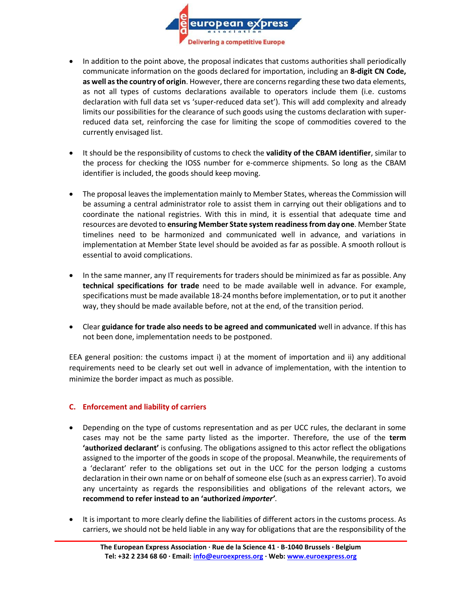

- In addition to the point above, the proposal indicates that customs authorities shall periodically communicate information on the goods declared for importation, including an **8-digit CN Code, as well as the country of origin**. However, there are concerns regarding these two data elements, as not all types of customs declarations available to operators include them (i.e. customs declaration with full data set vs 'super-reduced data set'). This will add complexity and already limits our possibilities for the clearance of such goods using the customs declaration with superreduced data set, reinforcing the case for limiting the scope of commodities covered to the currently envisaged list.
- It should be the responsibility of customs to check the **validity of the CBAM identifier**, similar to the process for checking the IOSS number for e-commerce shipments. So long as the CBAM identifier is included, the goods should keep moving.
- The proposal leaves the implementation mainly to Member States, whereas the Commission will be assuming a central administrator role to assist them in carrying out their obligations and to coordinate the national registries. With this in mind, it is essential that adequate time and resources are devoted to **ensuring Member State system readiness from day one**. Member State timelines need to be harmonized and communicated well in advance, and variations in implementation at Member State level should be avoided as far as possible. A smooth rollout is essential to avoid complications.
- In the same manner, any IT requirements for traders should be minimized as far as possible. Any **technical specifications for trade** need to be made available well in advance. For example, specifications must be made available 18-24 months before implementation, or to put it another way, they should be made available before, not at the end, of the transition period.
- Clear **guidance for trade also needs to be agreed and communicated** well in advance. If this has not been done, implementation needs to be postponed.

EEA general position: the customs impact i) at the moment of importation and ii) any additional requirements need to be clearly set out well in advance of implementation, with the intention to minimize the border impact as much as possible.

### **C. Enforcement and liability of carriers**

- Depending on the type of customs representation and as per UCC rules, the declarant in some cases may not be the same party listed as the importer. Therefore, the use of the **term 'authorized declarant'** is confusing. The obligations assigned to this actor reflect the obligations assigned to the importer of the goods in scope of the proposal. Meanwhile, the requirements of a 'declarant' refer to the obligations set out in the UCC for the person lodging a customs declaration in their own name or on behalf of someone else (such as an express carrier). To avoid any uncertainty as regards the responsibilities and obligations of the relevant actors, we **recommend to refer instead to an 'authorized** *importer'*.
- It is important to more clearly define the liabilities of different actors in the customs process. As carriers, we should not be held liable in any way for obligations that are the responsibility of the